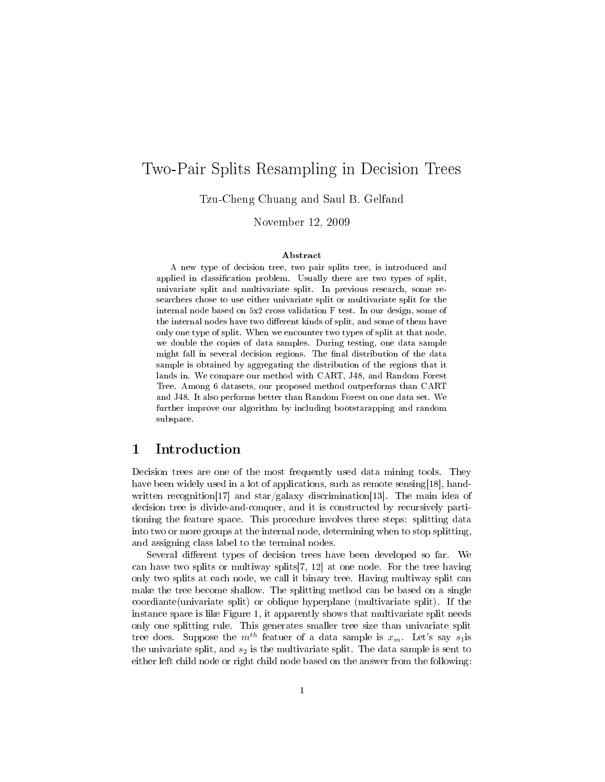# Two-Pair Splits Resampling in Decision Trees

Tzu-Cheng Chuang and Saul B. Gelfand

November 12, 2009

#### Abstract

A new type of decision tree, two pair splits tree, is introduced and applied in classification problem. Usually there are two types of split, univariate split and multivariate split. In previous research, some researchers chose to use either univariate split or multivariate split for the internal node based on 5x2 cross validation F test. In our design, some of the internal nodes have two different kinds of split, and some of them have only one type of split. When we encounter two types of split at that node, we double the copies of data samples. During testing, one data sample might fall in several decision regions. The final distribution of the data sample is obtained by aggregating the distribution of the regions that it lands in. We compare our method with CART, J48, and Random Forest Tree. Among 6 datasets, our proposed method outperforms than CART and J48. It also performs better than Random Forest on one data set. We further improve our algorithm by including bootstarapping and random subspace.

### 1 Introduction

Decision trees are one of the most frequently used data mining tools. They have been widely used in a lot of applications, such as remote sensing [18], handwritten recognition<sup>[17]</sup> and star/galaxy discrimination<sup>[13]</sup>. The main idea of decision tree is divide-and-conquer, and it is constructed by recursively partitioning the feature space. This procedure involves three steps: splitting data into two or more groups at the internal node, determining when to stop splitting, and assigning class label to the terminal nodes.

Several different types of decision trees have been developed so far. We can have two splits or multiway splits[7, 12] at one node. For the tree having only two splits at each node, we call it binary tree. Having multiway split can make the tree become shallow. The splitting method can be based on a single coordiante(univariate split) or oblique hyperplane (multivariate split). If the instance space is like Figure 1, it apparently shows that multivariate split needs only one splitting rule. This generates smaller tree size than univariate split tree does. Suppose the  $m^{th}$  featuer of a data sample is  $x_m$ . Let's say  $s_1$ is the univariate split, and  $s_2$  is the multivariate split. The data sample is sent to either left child node or right child node based on the answer from the following: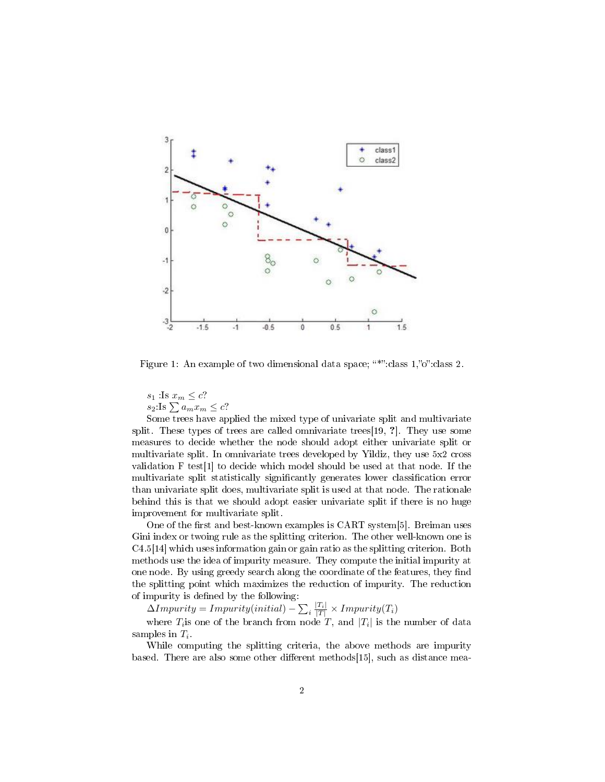

Figure 1: An example of two dimensional data space; "\*":class 1,"o":class 2.

 $s_1$ :Is  $x_m \leq c$ ?  $s_2$  Is  $\sum a_m x_m \leq c$ ?

Some trees have applied the mixed type of univariate split and multivariate split. These types of trees are called omnivariate trees[19, ?]. They use some measures to decide whether the node should adopt either univariate split or multivariate split. In omnivariate trees developed by Yildiz, they use 5x2 cross validation F test[1] to decide which model should be used at that node. If the multivariate split statistically significantly generates lower classification error than univariate split does, multivariate split is used at that node. The rationale behind this is that we should adopt easier univariate split if there is no huge improvement for multivariate split.

One of the first and best-known examples is CART system[5]. Breiman uses Gini index or twoing rule as the splitting criterion. The other well-known one is C4.5[14] which uses information gain or gain ratio as the splitting criterion. Both methods use the idea of impurity measure. They compute the initial impurity at one node. By using greedy search along the coordinate of the features, they find the splitting point which maximizes the reduction of impurity. The reduction of impurity is defined by the following:  $\,$ 

 $\Delta Impurity = Impurity (initial) - \sum_i \frac{|T_i|}{|T|} \times Impurity(T_i)$ 

where  $T_i$  is one of the branch from node  $T$ , and  $|T_i|$  is the number of data samples in  $T_i$ .

While computing the splitting criteria, the above methods are impurity based. There are also some other different methods[15], such as distance mea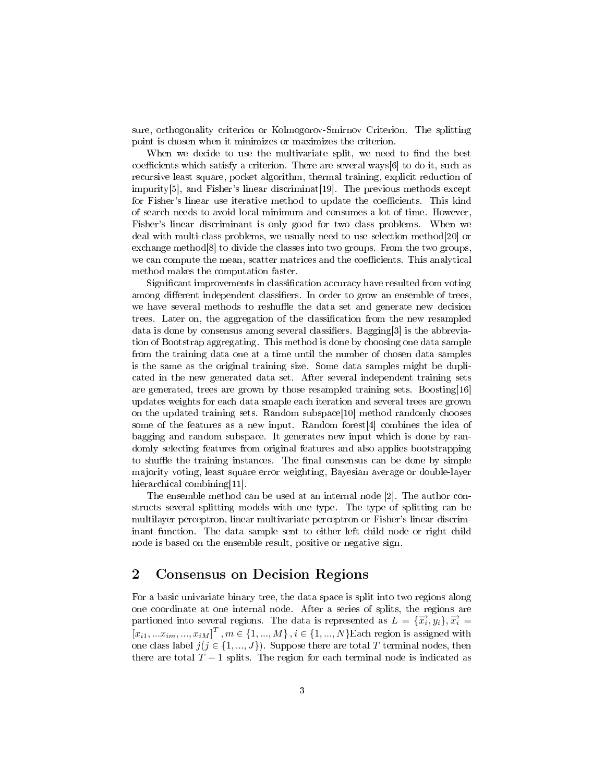sure, orthogonality criterion or Kolmogorov-Smirnov Criterion. The splitting point is chosen when it minimizes or maximizes the criterion.

When we decide to use the multivariate split, we need to find the best coefficients which satisfy a criterion. There are several ways $[6]$  to do it, such as recursive least square, pocket algorithm, thermal training, explicit reduction of impurity[5], and Fisher's linear discriminat[19]. The previous methods except for Fisher's linear use iterative method to update the coefficients. This kind of search needs to avoid local minimum and consumes a lot of time. However, Fisher's linear discriminant is only good for two class problems. When we deal with multi-class problems, we usually need to use selection method[20] or exchange method[8] to divide the classes into two groups. From the two groups, we can compute the mean, scatter matrices and the coefficients. This analytical method makes the computation faster.

Significant improvements in classification accuracy have resulted from voting among different independent classifiers. In order to grow an ensemble of trees, we have several methods to reshuffle the data set and generate new decision trees. Later on, the aggregation of the classification from the new resampled data is done by consensus among several classifiers. Bagging[3] is the abbreviation of Bootstrap aggregating. This method is done by choosing one data sample from the training data one at a time until the number of chosen data samples is the same as the original training size. Some data samples might be duplicated in the new generated data set. After several independent training sets are generated, trees are grown by those resampled training sets. Boosting[16] updates weights for each data smaple each iteration and several trees are grown on the updated training sets. Random subspace[10] method randomly chooses some of the features as a new input. Random forest[4] combines the idea of bagging and random subspace. It generates new input which is done by randomly selecting features from original features and also applies bootstrapping to shuffle the training instances. The final consensus can be done by simple majority voting, least square error weighting, Bayesian average or double-layer hierarchical combining[11].

The ensemble method can be used at an internal node [2]. The author constructs several splitting models with one type. The type of splitting can be multilayer perceptron, linear multivariate perceptron or Fisher's linear discriminant function. The data sample sent to either left child node or right child node is based on the ensemble result, positive or negative sign.

# 2 Consensus on Decision Regions

For a basic univariate binary tree, the data space is split into two regions along one coordinate at one internal node. After a series of splits, the regions are partioned into several regions. The data is represented as  $L = {\overrightarrow{x_i}, y_i}, \overrightarrow{x_i} =$  $[x_{i1},...x_{im},...,x_{iM}]^{T}$ ,  $m \in \{1,...,M\}$ ,  $i \in \{1,...,N\}$  Each region is assigned with one class label  $j$ ( $j \in \{1, ..., J\}$ ). Suppose there are total T terminal nodes, then there are total  $T - 1$  splits. The region for each terminal node is indicated as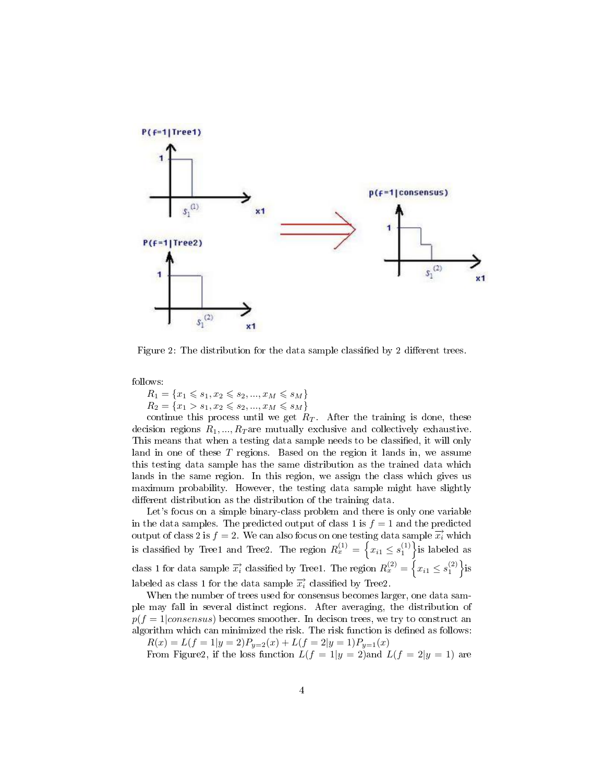

Figure 2: The distribution for the data sample classified by 2 different trees.

follows:

 $R_1 = \{x_1 \leqslant s_1, x_2 \leqslant s_2, ..., x_M \leqslant s_M\}$  $R_2 = \{x_1 > s_1, x_2 \leqslant s_2, ..., x_M \leqslant s_M\}$ 

continue this process until we get  $R_T$ . After the training is done, these decision regions  $R_1, ..., R_T$  are mutually exclusive and collectively exhaustive. This means that when a testing data sample needs to be classified, it will only land in one of these T regions. Based on the region it lands in, we assume this testing data sample has the same distribution as the trained data which lands in the same region. In this region, we assign the class which gives us maximum probability. However, the testing data sample might have slightly different distribution as the distribution of the training data.

Let's focus on a simple binary-class problem and there is only one variable in the data samples. The predicted output of class 1 is  $f = 1$  and the predicted output of class 2 is  $f = 2$ . We can also focus on one testing data sample  $\overrightarrow{x_i}$  which is classified by Tree1 and Tree2. The region  $R_x^{(1)} = \left\{x_{i1} \leq s_1^{(1)}\right\}$ is labeled as class 1 for data sample  $\overrightarrow{x_i}$  classified by Tree1. The region  $R_x^{(2)} = \left\{ x_{i1} \le s_1^{(2)} \right\}$ is labeled as class 1 for the data sample  $\vec{x}_i$  classified by Tree2.

When the number of trees used for consensus becomes larger, one data sample may fall in several distinct regions. After averaging, the distribution of  $p(f = 1|consensus)$  becomes smoother. In decison trees, we try to construct an algorithm which can minimized the risk. The risk function is defined as follows:

 $R(x) = L(f = 1|y = 2)P_{y=2}(x) + L(f = 2|y = 1)P_{y=1}(x)$ 

From Figure2, if the loss function  $L(f = 1|y = 2)$  and  $L(f = 2|y = 1)$  are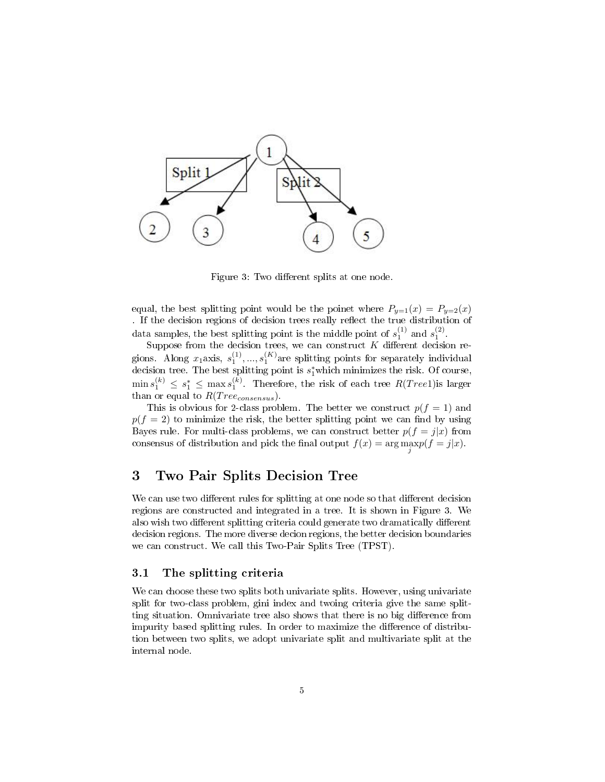

Figure 3: Two different splits at one node.

equal, the best splitting point would be the poinet where  $P_{y=1}(x) = P_{y=2}(x)$ . If the decision regions of decision trees really reflect the true distribution of data samples, the best splitting point is the middle point of  $s_1^{(1)}$  and  $s_1^{(2)}$ .

Suppose from the decision trees, we can construct  $K$  different decision regions. Along  $x_1$ axis,  $s_1^{(1)},...,s_1^{(K)}$ are splitting points for separately individual decision tree. The best splitting point is  $s_1^*$  which minimizes the risk. Of course,  $\min s_1^{(k)} \leq s_1^* \leq \max s_1^{(k)}$ . Therefore, the risk of each tree  $R(Tree1)$ is larger than or equal to  $R(Tree_{consensus})$ .

This is obvious for 2-class problem. The better we construct  $p(f = 1)$  and  $p(f = 2)$  to minimize the risk, the better splitting point we can find by using Bayes rule. For multi-class problems, we can construct better  $p(f = j|x)$  from consensus of distribution and pick the final output  $f(x) = \arg \max_{j} p(f = j|x)$ .

# 3 Two Pair Splits Decision Tree

We can use two different rules for splitting at one node so that different decision regions are constructed and integrated in a tree. It is shown in Figure 3. We also wish two different splitting criteria could generate two dramatically different decision regions. The more diverse decion regions, the better decision boundaries we can construct. We call this Two-Pair Splits Tree (TPST).

#### 3.1 The splitting criteria

We can choose these two splits both univariate splits. However, using univariate split for two-class problem, gini index and twoing criteria give the same splitting situation. Omnivariate tree also shows that there is no big difference from impurity based splitting rules. In order to maximize the difference of distribution between two splits, we adopt univariate split and multivariate split at the internal node.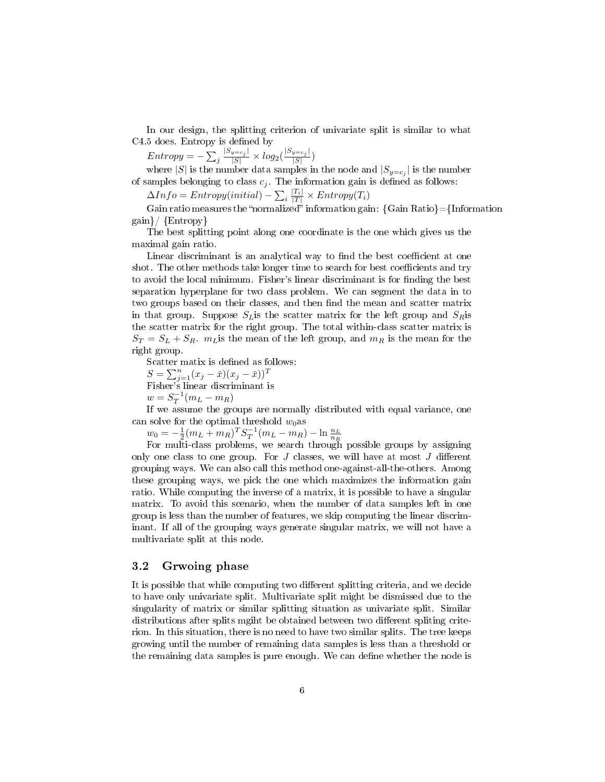In our design, the splitting criterion of univariate split is similar to what C4.5 does. Entropy is defined by

 $Entropy = -\sum_j \frac{|S_{y=c_j}|}{|S|} \times log_2(\frac{|S_{y=c_j}|}{|S|})$  $\frac{y=c_j}{|S|}$ 

where  $|S|$  is the number data samples in the node and  $|S_{y=c_j}|$  is the number of samples belonging to class  $c_j$ . The information gain is defined as follows:

 $\Delta Info = Entropy (initial) - \sum_i \frac{|T_i|}{|T|} \times Entropy(T_i)$ 

Gain ratio measures the "normalized" information gain:  ${Gain Ratio} = {Information}$ gain}/ {Entropy}

The best splitting point along one coordinate is the one which gives us the maximal gain ratio.

Linear discriminant is an analytical way to find the best coefficient at one shot. The other methods take longer time to search for best coefficients and try to avoid the local minimum. Fisher's linear discriminant is for finding the best separation hyperplane for two class problem. We can segment the data in to two groups based on their classes, and then find the mean and scatter matrix in that group. Suppose  $S_L$  is the scatter matrix for the left group and  $S_R$  is the scatter matrix for the right group. The total within-class scatter matrix is  $S_T = S_L + S_R$   $m_L$  is the mean of the left group, and  $m_R$  is the mean for the right group.

Scatter matix is defined as follows:

 $S = \sum_{j=1}^{n} (x_j - \bar{x})(x_j - \bar{x}))^T$ Fisher's linear discriminant is  $w = S_T^{-1}(m_L - m_R)$ 

If we assume the groups are normally distributed with equal variance, one can solve for the optimal threshold  $w_0$ as

 $w_0 = -\frac{1}{2}(m_L + m_R)^T S_T^{-1}(m_L - m_R) - \ln \frac{n_L}{n_R}$ <br>For multi-class problems, we search through possible groups by assigning only one class to one group. For  $J$  classes, we will have at most  $J$  different grouping ways. We can also call this method one-against-all-the-others. Among these grouping ways, we pick the one which maximizes the information gain ratio. While computing the inverse of a matrix, it is possible to have a singular matrix. To avoid this scenario, when the number of data samples left in one group is less than the number of features, we skip computing the linear discriminant. If all of the grouping ways generate singular matrix, we will not have a multivariate split at this node.

#### 3.2 Grwoing phase

It is possible that while computing two different splitting criteria, and we decide to have only univariate split. Multivariate split might be dismissed due to the singularity of matrix or similar splitting situation as univariate split. Similar distributions after splits mgiht be obtained between two different spliting criterion. In this situation, there is no need to have two similar splits. The tree keeps growing until the number of remaining data samples is less than a threshold or the remaining data samples is pure enough. We can define whether the node is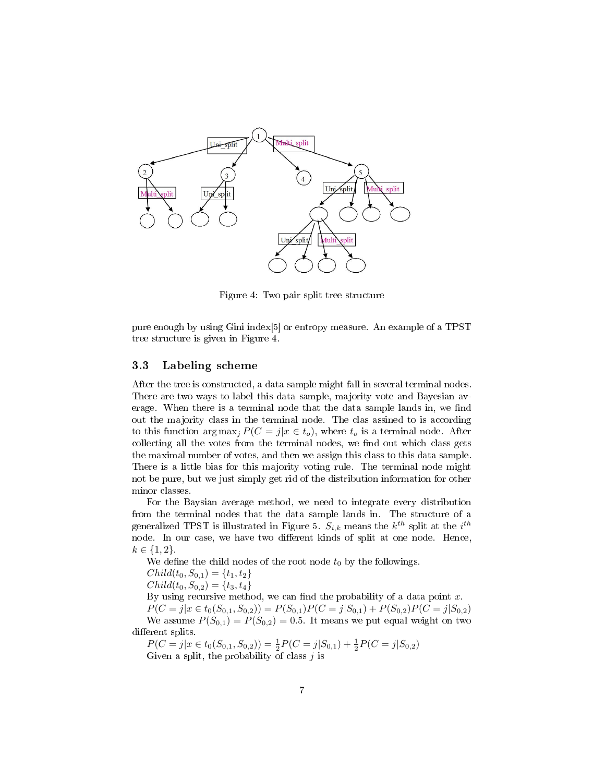

Figure 4: Two pair split tree structure

pure enough by using Gini index[5] or entropy measure. An example of a TPST tree structure is given in Figure 4.

#### 3.3 Labeling scheme

After the tree is constructed, a data sample might fall in several terminal nodes. There are two ways to label this data sample, majority vote and Bayesian average. When there is a terminal node that the data sample lands in, we find out the majority class in the terminal node. The clas assined to is according to this function  $\arg \max_{i} P(C = j | x \in t_o)$ , where  $t_o$  is a terminal node. After collecting all the votes from the terminal nodes, we find out which class gets the maximal number of votes, and then we assign this class to this data sample. There is a little bias for this majority voting rule. The terminal node might not be pure, but we just simply get rid of the distribution information for other minor classes.

For the Baysian average method, we need to integrate every distribution from the terminal nodes that the data sample lands in. The structure of a generalized TPST is illustrated in Figure 5.  $S_{i,k}$  means the  $k^{th}$  split at the  $i^{th}$ node. In our case, we have two different kinds of split at one node. Hence,  $k \in \{1, 2\}.$ 

We define the child nodes of the root node  $t_0$  by the followings.

$$
Child(t_0, S_{0,1}) = \{t_1, t_2\}
$$

 $Child(t_0, S_{0,2}) = \{t_3, t_4\}$ 

By using recursive method, we can find the probability of a data point  $x$ .

 $P(C = j | x \in t_0(S_{0,1}, S_{0,2})) = P(S_{0,1})P(C = j | S_{0,1}) + P(S_{0,2})P(C = j | S_{0,2})$ We assume  $P(S_{0,1}) = P(S_{0,2}) = 0.5$ . It means we put equal weight on two different splits.

 $P(C = j | x \in t_0(S_{0,1}, S_{0,2})) = \frac{1}{2} P(C = j | S_{0,1}) + \frac{1}{2} P(C = j | S_{0,2})$ Given a split, the probability of class  $j$  is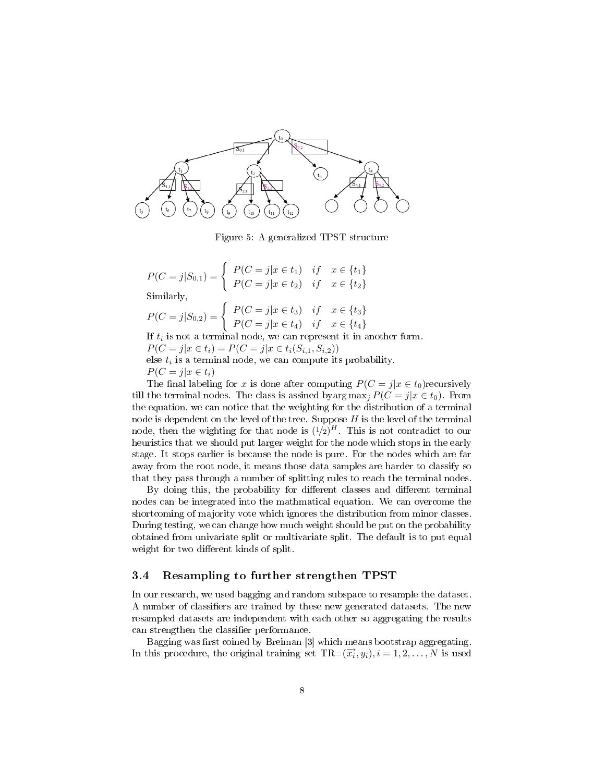

Figure 5: A generalized TPST structure

 $P(C = j | S_{0,1}) = \begin{cases} P(C = j | x \in t_1) & if x \in \{t_1\} \\ P(C = j | X_{0,1}) & if x \in \{t_1\} \end{cases}$  $P(C = j | x \in t_2)$  if  $x \in \{t_2\}$ Similarly,

$$
P(C = j | S_{0,2}) = \begin{cases} P(C = j | x \in t_3) & if x \in \{t_3\} \\ P(C = j | x \in t_4) & if x \in \{t_4\} \end{cases}
$$

If  $t_i$  is not a terminal node, we can represent it in another form.  $P(C = j | x \in t_i) = P(C = j | x \in t_i(S_{i,1}, S_{i,2}))$ else  $t_i$  is a terminal node, we can compute its probability.

$$
P(C = j | x \in t_i)
$$

The final labeling for x is done after computing  $P(C = j|x \in t_0)$  recursively till the terminal nodes. The class is assined byarg  $\max_i P(C = j | x \in t_0)$ . From the equation, we can notice that the weighting for the distribution of a terminal node is dependent on the level of the tree. Suppose  $H$  is the level of the terminal node, then the wighting for that node is  $(1/2)^H$ . This is not contradict to our heuristics that we should put larger weight for the node which stops in the early stage. It stops earlier is because the node is pure. For the nodes which are far away from the root node, it means those data samples are harder to classify so that they pass through a number of splitting rules to reach the terminal nodes.

By doing this, the probability for different classes and different terminal nodes can be integrated into the mathmatical equation. We can overcome the shortcoming of majority vote which ignores the distribution from minor classes. During testing, we can change how much weight should be put on the probability obtained from univariate split or multivariate split. The default is to put equal weight for two different kinds of split.

#### 3.4 Resampling to further strengthen TPST

In our research, we used bagging and random subspace to resample the dataset. A number of classifiers are trained by these new generated datasets. The new resampled datasets are independent with each other so aggregating the results can strengthen the classifier performance.

Bagging was first coined by Breiman [3] which means bootstrap aggregating. In this procedure, the original training set  $TR = (\vec{x_i}, y_i), i = 1, 2, ..., N$  is used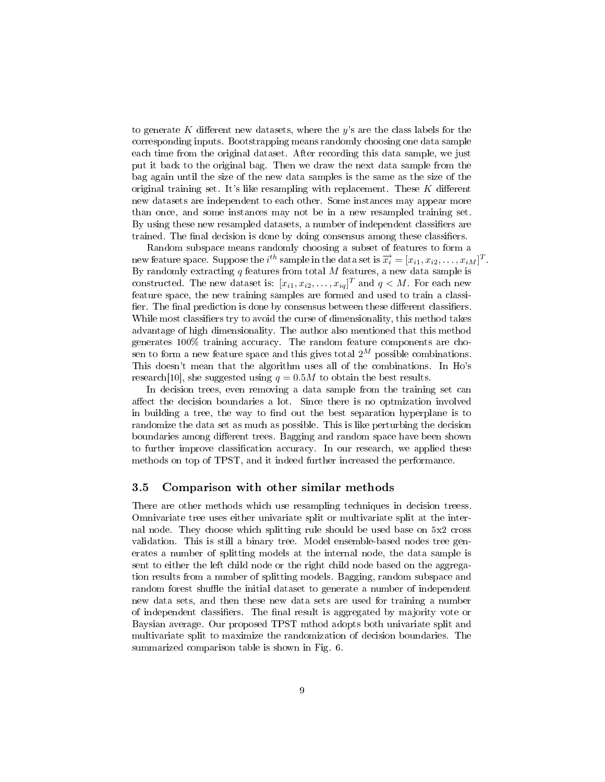to generate K different new datasets, where the y's are the class labels for the corresponding inputs. Bootstrapping means randomly choosing one data sample each time from the original dataset. After recording this data sample, we just put it back to the original bag. Then we draw the next data sample from the bag again until the size of the new data samples is the same as the size of the original training set. It's like resampling with replacement. These  $K$  different new datasets are independent to each other. Some instances may appear more than once, and some instances may not be in a new resampled training set. By using these new resampled datasets, a number of independent classifiers are trained. The final decision is done by doing consensus among these classifiers.

Random subspace means randomly choosing a subset of features to form a new feature space. Suppose the *i*<sup>th</sup> sample in the data set is  $\vec{x}_i = [x_{i1}, x_{i2}, \dots, x_{iM}]^T$ . By randomly extracting  $q$  features from total  $M$  features, a new data sample is constructed. The new dataset is:  $[x_{i1}, x_{i2}, \ldots, x_{iq}]^T$  and  $q \lt M$ . For each new feature space, the new training samples are formed and used to train a classi fier. The final prediction is done by consensus between these different classifiers. While most classifiers try to avoid the curse of dimensionality, this method takes advantage of high dimensionality. The author also mentioned that this method generates 100% training accuracy. The random feature components are chosen to form a new feature space and this gives total  $2^M$  possible combinations. This doesn't mean that the algorithm uses all of the combinations. In Ho's research[10], she suggested using  $q = 0.5M$  to obtain the best results.

In decision trees, even removing a data sample from the training set can affect the decision boundaries a lot. Since there is no optmization involved in building a tree, the way to find out the best separation hyperplane is to randomize the data set as much as possible. This is like perturbing the decision boundaries among different trees. Bagging and random space have been shown to further improve classification accuracy. In our research, we applied these methods on top of TPST, and it indeed further increased the performance.

#### 3.5 Comparison with other similar methods

There are other methods which use resampling techniques in decision treess. Omnivariate tree uses either univariate split or multivariate split at the internal node. They choose which splitting rule should be used base on 5x2 cross validation. This is still a binary tree. Model ensemble-based nodes tree generates a number of splitting models at the internal node, the data sample is sent to either the left child node or the right child node based on the aggregation results from a number of splitting models. Bagging, random subspace and random forest shuffle the initial dataset to generate a number of independent new data sets, and then these new data sets are used for training a number of independent classifiers. The final result is aggregated by majority vote or Baysian average. Our proposed TPST mthod adopts both univariate split and multivariate split to maximize the randomization of decision boundaries. The summarized comparison table is shown in Fig. 6.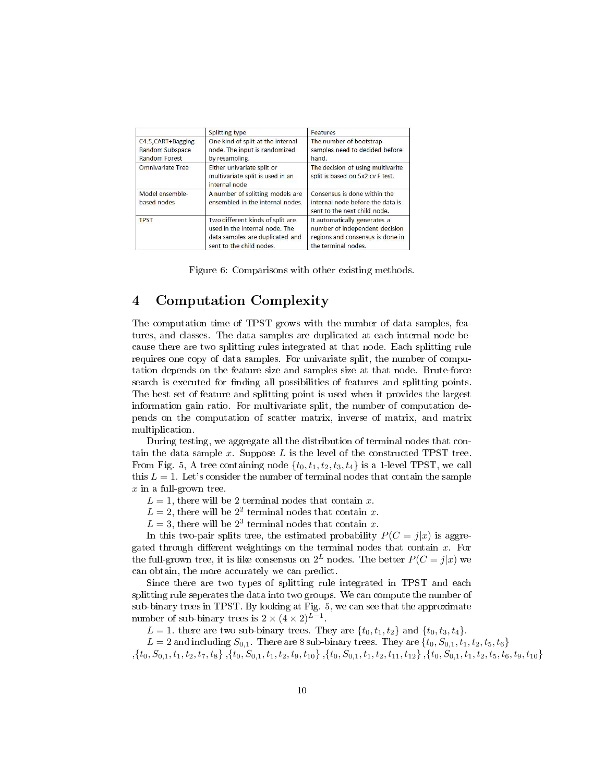|                                                                      | Splitting type                                                                                                                    | Features                                                                                                                  |
|----------------------------------------------------------------------|-----------------------------------------------------------------------------------------------------------------------------------|---------------------------------------------------------------------------------------------------------------------------|
| C4.5, CART+Bagging<br><b>Random Subspace</b><br><b>Random Forest</b> | One kind of split at the internal<br>node. The input is randomized<br>by resampling.                                              | The number of bootstrap<br>samples need to decided before<br>hand.                                                        |
| <b>Omnivariate Tree</b>                                              | Either univariate split or<br>multivariate split is used in an<br>internal node                                                   | The decision of using multivarite<br>split is based on 5x2 cv F test.                                                     |
| Model ensemble-<br>based nodes                                       | A number of splitting models are<br>ensembled in the internal nodes.                                                              | Consensus is done within the<br>internal node before the data is<br>sent to the next child node.                          |
| <b>TPST</b>                                                          | Two different kinds of split are<br>used in the internal node. The<br>data samples are duplicated and<br>sent to the child nodes. | It automatically generates a<br>number of independent decision<br>regions and consensus is done in<br>the terminal nodes. |

Figure 6: Comparisons with other existing methods.

# 4 Computation Complexity

The computation time of TPST grows with the number of data samples, features, and classes. The data samples are duplicated at each internal node because there are two splitting rules integrated at that node. Each splitting rule requires one copy of data samples. For univariate split, the number of computation depends on the feature size and samples size at that node. Brute-force search is executed for finding all possibilities of features and splitting points. The best set of feature and splitting point is used when it provides the largest information gain ratio. For multivariate split, the number of computation depends on the computation of scatter matrix, inverse of matrix, and matrix multiplication.

During testing, we aggregate all the distribution of terminal nodes that contain the data sample x. Suppose L is the level of the constructed TPST tree. From Fig. 5, A tree containing node  $\{t_0, t_1, t_2, t_3, t_4\}$  is a 1-level TPST, we call this  $L = 1$ . Let's consider the number of terminal nodes that contain the sample  $x$  in a full-grown tree.

 $L = 1$ , there will be 2 terminal nodes that contain x.

 $L = 2$ , there will be  $2<sup>2</sup>$  terminal nodes that contain x.

 $L = 3$ , there will be  $2<sup>3</sup>$  terminal nodes that contain x.

In this two-pair splits tree, the estimated probability  $P(C = j|x)$  is aggregated through different weightings on the terminal nodes that contain  $x$ . For the full-grown tree, it is like consensus on  $2^L$  nodes. The better  $P(C = j|x)$  we can obtain, the more accurately we can predict.

Since there are two types of splitting rule integrated in TPST and each splitting rule seperates the data into two groups. We can compute the number of sub-binary trees in TPST. By looking at Fig. 5, we can see that the approximate number of sub-binary trees is  $2 \times (4 \times 2)^{L-1}$ .

 $L = 1$ . there are two sub-binary trees. They are  $\{t_0, t_1, t_2\}$  and  $\{t_0, t_3, t_4\}$ .

 $L = 2$  and including  $S_{0,1}$ . There are 8 sub-binary trees. They are  $\{t_0, S_{0,1}, t_1, t_2, t_5, t_6\}$  $, \{t_0, S_{0,1}, t_1, t_2, t_7, t_8\}, \{t_0, S_{0,1}, t_1, t_2, t_9, t_{10}\}, \{t_0, S_{0,1}, t_1, t_2, t_{11}, t_{12}\}, \{t_0, S_{0,1}, t_1, t_2, t_5, t_6, t_9, t_{10}\}$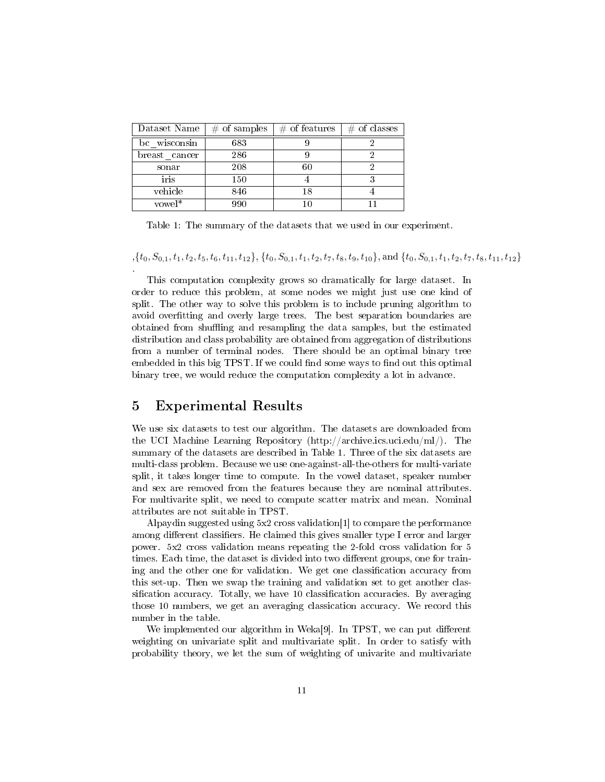| Dataset Name  | $#$ of samples | $\#$ of features | $#$ of classes |
|---------------|----------------|------------------|----------------|
| bc wisconsin  | 683            |                  |                |
| breast cancer | 286            |                  |                |
| sonar         | 208            | 60               |                |
| iris          | 150            |                  |                |
| vehicle       | 846            | 18               |                |
| vowel*        | aan            |                  |                |

Table 1: The summary of the datasets that we used in our experiment.

 $\{t_0, S_{0,1}, t_1, t_2, t_5, t_6, t_{11}, t_{12}\}, \{t_0, S_{0,1}, t_1, t_2, t_7, t_8, t_9, t_{10}\}, \text{and } \{t_0, S_{0,1}, t_1, t_2, t_7, t_8, t_{11}, t_{12}\}$ 

This computation complexity grows so dramatically for large dataset. In order to reduce this problem, at some nodes we might just use one kind of split. The other way to solve this problem is to include pruning algorithm to avoid overfitting and overly large trees. The best separation boundaries are obtained from shuffling and resampling the data samples, but the estimated distribution and class probability are obtained from aggregation of distributions from a number of terminal nodes. There should be an optimal binary tree embedded in this big TPST. If we could find some ways to find out this optimal binary tree, we would reduce the computation complexity a lot in advance.

## 5 Experimental Results

.

We use six datasets to test our algorithm. The datasets are downloaded from the UCI Machine Learning Repository (http://archive.ics.uci.edu/ml/). The summary of the datasets are described in Table 1. Three of the six datasets are multi-class problem. Because we use one-against-all-the-others for multi-variate split, it takes longer time to compute. In the vowel dataset, speaker number and sex are removed from the features because they are nominal attributes. For multivarite split, we need to compute scatter matrix and mean. Nominal attributes are not suitable in TPST.

Alpaydin suggested using 5x2 cross validation[1] to compare the performance among different classifiers. He claimed this gives smaller type I error and larger power. 5x2 cross validation means repeating the 2-fold cross validation for 5 times. Each time, the dataset is divided into two different groups, one for training and the other one for validation. We get one classification accuracy from this set-up. Then we swap the training and validation set to get another classification accuracy. Totally, we have 10 classification accuracies. By averaging those 10 numbers, we get an averaging classication accuracy. We record this number in the table.

We implemented our algorithm in Weka[9]. In TPST, we can put different weighting on univariate split and multivariate split. In order to satisfy with probability theory, we let the sum of weighting of univarite and multivariate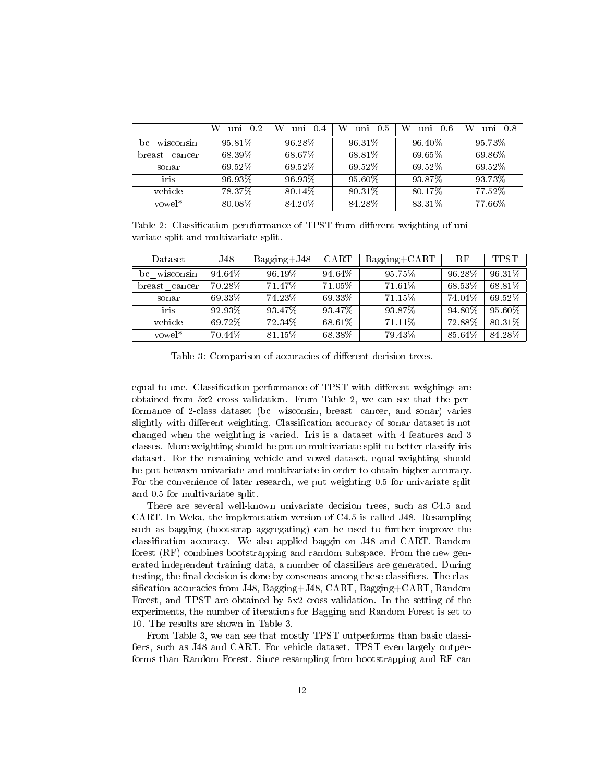|                          | W<br>$\text{uni}=0.2$ | W<br>$\mathrm{uni}{=}0.4$ | W<br>$\text{uni}=0.5$ | W<br>$\mathrm{uni}{=}0.6$ | W<br>$\mathrm{uni}{=}0.8$ |
|--------------------------|-----------------------|---------------------------|-----------------------|---------------------------|---------------------------|
| wisconsin<br>bc          | 95.81\%               | 96.28%                    | $96.31\%$             | 96.40%                    | 95.73%                    |
| breast<br>cancer         | 68.39%                | $68.67\%$                 | 68.81%                | $69.65\%$                 | 69.86%                    |
| sonar                    | 69.52%                | 69.52%                    | 69.52%                | 69.52%                    | 69.52%                    |
| $\overline{\text{iris}}$ | 96.93%                | 96.93%                    | $95.60\%$             | 93.87%                    | 93.73%                    |
| vehicle                  | 78.37%                | 80.14%                    | 80.31%                | 80.17%                    | 77.52%                    |
| $vowel*$                 | 80.08%                | 84.20%                    | 84.28%                | 83.31\%                   | 77.66%                    |

Table 2: Classification peroformance of TPST from different weighting of univariate split and multivariate split.

| Dataset.         | J48     | $Bagging+J48$ | CART      | $Bagging + CART$ | RF     | <b>TPST</b> |
|------------------|---------|---------------|-----------|------------------|--------|-------------|
| bc<br>wisconsin  | 94.64%  | 96.19%        | 94.64%    | $95.75\%$        | 96.28% | 96.31%      |
| breast<br>cancer | 70.28%  | 71.47%        | $71.05\%$ | 71.61%           | 68.53% | 68.81%      |
| sonar            | 69 33\% | 74.23%        | 69.33%    | $71.15\%$        | 74.04% | 69.52%      |
| iris             | 92.93%  | 93.47%        | 93.47%    | 93.87%           | 94.80% | 95.60%      |
| vehicle          | 69.72%  | 72.34\%       | 68.61%    | $71.11\%$        | 72.88% | 80.31%      |
| $vowel*$         | 70.44%  | 81.15%        | 68.38%    | 79.43%           | 85.64% | 84.28%      |

Table 3: Comparison of accuracies of different decision trees.

equal to one. Classification performance of TPST with different weighings are obtained from 5x2 cross validation. From Table 2, we can see that the performance of 2-class dataset (bc\_wisconsin, breast\_cancer, and sonar) varies slightly with different weighting. Classification accuracy of sonar dataset is not changed when the weighting is varied. Iris is a dataset with 4 features and 3 classes. More weighting should be put on multivariate split to better classify iris dataset. For the remaining vehicle and vowel dataset, equal weighting should be put between univariate and multivariate in order to obtain higher accuracy. For the convenience of later research, we put weighting 0.5 for univariate split and 0.5 for multivariate split.

There are several well-known univariate decision trees, such as C4.5 and CART. In Weka, the implemetation version of C4.5 is called J48. Resampling such as bagging (bootstrap aggregating) can be used to further improve the classification accuracy. We also applied baggin on J48 and CART. Random forest (RF) combines bootstrapping and random subspace. From the new generated independent training data, a number of classifiers are generated. During testing, the final decision is done by consensus among these classifiers. The classification accuracies from J48, Bagging+J48, CART, Bagging+CART, Random Forest, and TPST are obtained by 5x2 cross validation. In the setting of the experiments, the number of iterations for Bagging and Random Forest is set to 10. The results are shown in Table 3.

From Table 3, we can see that mostly TPST outperforms than basic classi fiers, such as J48 and CART. For vehicle dataset, TPST even largely outperforms than Random Forest. Since resampling from bootstrapping and RF can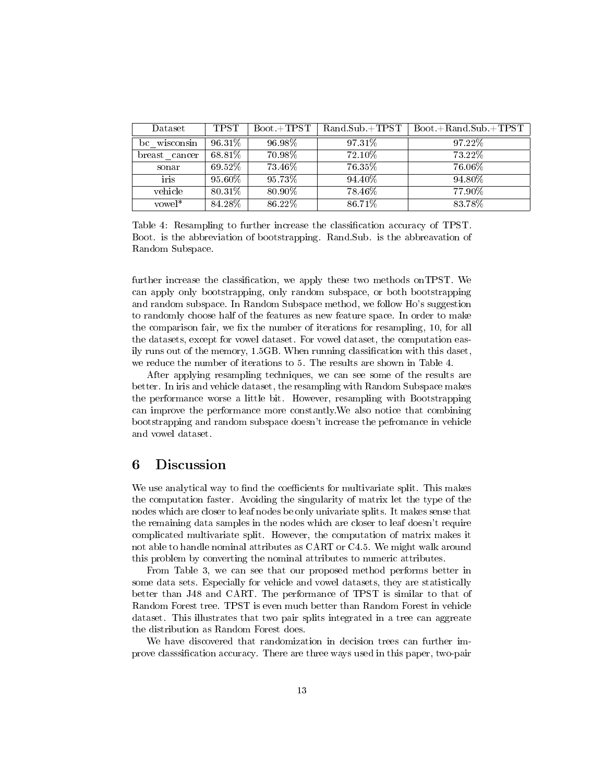| Dataset          | <b>TPST</b> | $Book + TPST$ | $Rand.Sub.+TPST$ | $Book + Rand.Sub + TPST$ |
|------------------|-------------|---------------|------------------|--------------------------|
| wisconsin<br>bc  | 96.31%      | 96.98%        | 97.31\%          | 97.22%                   |
| breast<br>cancer | 68.81%      | 70.98%        | 72.10\%          | 73.22%                   |
| sonar            | 69.52%      | 73.46%        | 76.35%           | 76.06%                   |
| iris             | 95.60%      | 95.73%        | 94.40\%          | 94.80\%                  |
| vehicle          | 80.31\%     | 80.90%        | 78.46%           | 77.90%                   |
| $vowel*$         | 84.28%      | 86.22%        | 86.71%           | 83.78%                   |

Table 4: Resampling to further increase the classification accuracy of TPST. Boot. is the abbreviation of bootstrapping. Rand.Sub. is the abbreavation of Random Subspace.

further increase the classification, we apply these two methods on TPST. We can apply only bootstrapping, only random subspace, or both bootstrapping and random subspace. In Random Subspace method, we follow Ho's suggestion to randomly choose half of the features as new feature space. In order to make the comparison fair, we fix the number of iterations for resampling, 10, for all the datasets, except for vowel dataset. For vowel dataset, the computation easily runs out of the memory,  $1.5GB$ . When running classification with this daset, we reduce the number of iterations to 5. The results are shown in Table 4.

After applying resampling techniques, we can see some of the results are better. In iris and vehicle dataset, the resampling with Random Subspace makes the performance worse a little bit. However, resampling with Bootstrapping can improve the performance more constantly.We also notice that combining bootstrapping and random subspace doesn't increase the pefromance in vehicle and vowel dataset.

### 6 Discussion

We use analytical way to find the coefficients for multivariate split. This makes the computation faster. Avoiding the singularity of matrix let the type of the nodes which are closer to leaf nodes be only univariate splits. It makes sense that the remaining data samples in the nodes which are closer to leaf doesn't require complicated multivariate split. However, the computation of matrix makes it not able to handle nominal attributes as CART or C4.5. We might walk around this problem by converting the nominal attributes to numeric attributes.

From Table 3, we can see that our proposed method performs better in some data sets. Especially for vehicle and vowel datasets, they are statistically better than J48 and CART. The performance of TPST is similar to that of Random Forest tree. TPST is even much better than Random Forest in vehicle dataset. This illustrates that two pair splits integrated in a tree can aggreate the distribution as Random Forest does.

We have discovered that randomization in decision trees can further improve classsification accuracy. There are three ways used in this paper, two-pair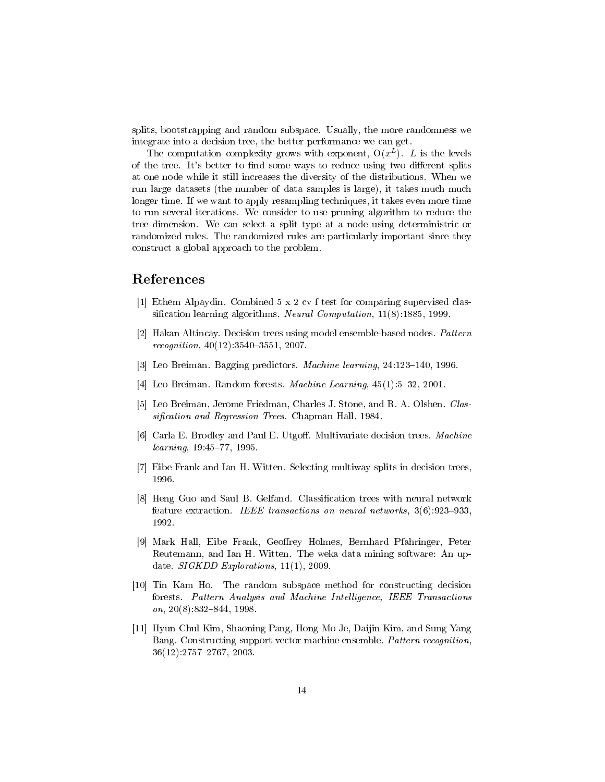splits, bootstrapping and random subspace. Usually, the more randomness we integrate into a decision tree, the better performance we can get.

The computation complexity grows with exponent,  $O(x^L)$ . L is the levels of the tree. It's better to find some ways to reduce using two different splits at one node while it still increases the diversity of the distributions. When we run large datasets (the number of data samples is large), it takes much much longer time. If we want to apply resampling techniques, it takes even more time to run several iterations. We consider to use pruning algorithm to reduce the tree dimension. We can select a split type at a node using deterministric or randomized rules. The randomized rules are particularly important since they construct a global approach to the problem.

### References

- [1] Ethem Alpaydin. Combined 5 x 2 cv f test for comparing supervised classification learning algorithms. Neural Computation,  $11(8)$ :1885, 1999.
- [2] Hakan Altincay. Decision trees using model ensemble-based nodes. Pattern recognition,  $40(12)$ :  $3540-3551$ , 2007.
- [3] Leo Breiman. Bagging predictors. *Machine learning*,  $24:123-140$ , 1996.
- [4] Leo Breiman. Random forests. *Machine Learning*,  $45(1):5-32$ , 2001.
- [5] Leo Breiman, Jerome Friedman, Charles J. Stone, and R. A. Olshen. Classification and Regression Trees. Chapman Hall, 1984.
- [6] Carla E. Brodley and Paul E. Utgoff. Multivariate decision trees. Machine  $learning, 19.45–77, 1995.$
- [7] Eibe Frank and Ian H. Witten. Selecting multiway splits in decision trees, 1996.
- [8] Heng Guo and Saul B. Gelfand. Classification trees with neural network feature extraction. IEEE transactions on neural networks,  $3(6)$ :923-933, 1992.
- [9] Mark Hall, Eibe Frank, Geoffrey Holmes, Bernhard Pfahringer, Peter Reutemann, and Ian H. Witten. The weka data mining software: An update. SIGKDD Explorations, 11(1), 2009.
- [10] Tin Kam Ho. The random subspace method for constructing decision forests. Pattern Analysis and Machine Intelligence, IEEE Transactions on,  $20(8)$ :832-844, 1998.
- [11] Hyun-Chul Kim, Shaoning Pang, Hong-Mo Je, Daijin Kim, and Sung Yang Bang. Constructing support vector machine ensemble. Pattern recognition, 36(12):27572767, 2003.